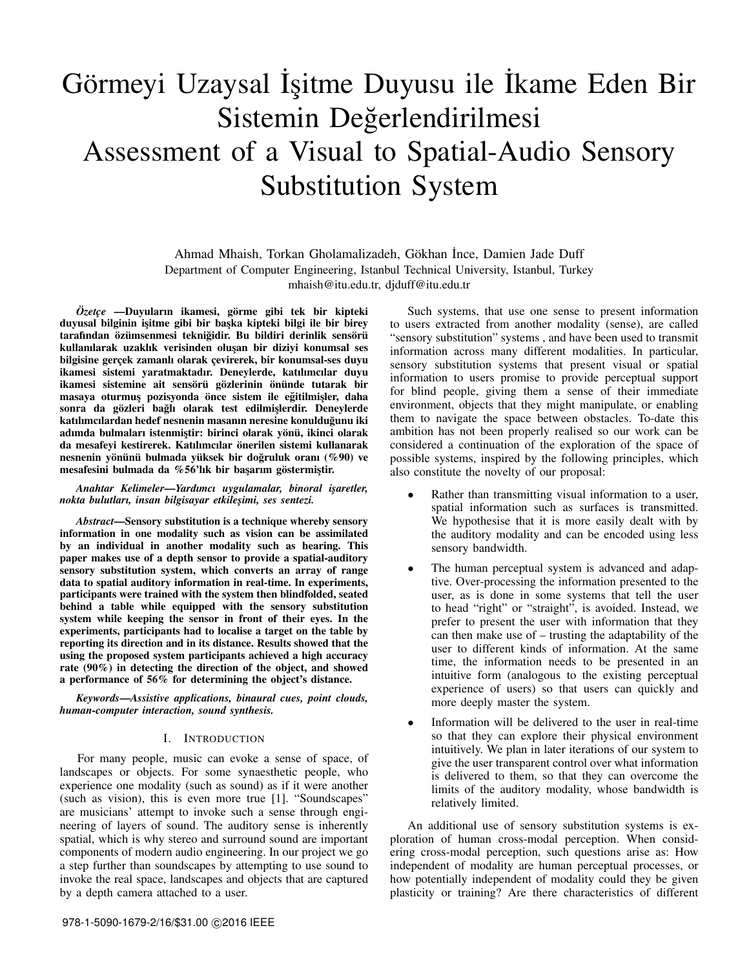# Görmeyi Uzaysal İşitme Duyusu ile İkame Eden Bir Sistemin Değerlendirilmesi Assessment of a Visual to Spatial-Audio Sensory Substitution System

Ahmad Mhaish, Torkan Gholamalizadeh, Gökhan ˙Ince, Damien Jade Duff Department of Computer Engineering, Istanbul Technical University, Istanbul, Turkey mhaish@itu.edu.tr, djduff@itu.edu.tr

*Özetçe* —Duyuların ikamesi, görme gibi tek bir kipteki duyusal bilginin işitme gibi bir başka kipteki bilgi ile bir birey tarafından özümsenmesi tekniğidir. Bu bildiri derinlik sensörü kullanılarak uzaklık verisinden oluşan bir diziyi konumsal ses bilgisine gerçek zamanlı olarak çevirerek, bir konumsal-ses duyu ikamesi sistemi yaratmaktadır. Deneylerde, katılımcılar duyu ikamesi sistemine ait sensörü gözlerinin önünde tutarak bir masaya oturmuş pozisyonda önce sistem ile eğitilmişler, daha sonra da gözleri bağlı olarak test edilmişlerdir. Deneylerde katılımcılardan hedef nesnenin masanın neresine konuldugunu iki ˘ adımda bulmaları istenmiştir: birinci olarak yönü, ikinci olarak da mesafeyi kestirerek. Katılımcılar önerilen sistemi kullanarak nesnenin yönünü bulmada yüksek bir doğruluk oranı  $(\%90)$  ve mesafesini bulmada da %56'lık bir başarım göstermiştir.

### *Anahtar Kelimeler*—*Yardımcı uygulamalar, binoral i¸saretler, nokta bulutları, insan bilgisayar etkile¸simi, ses sentezi.*

*Abstract*—Sensory substitution is a technique whereby sensory information in one modality such as vision can be assimilated by an individual in another modality such as hearing. This paper makes use of a depth sensor to provide a spatial-auditory sensory substitution system, which converts an array of range data to spatial auditory information in real-time. In experiments, participants were trained with the system then blindfolded, seated behind a table while equipped with the sensory substitution system while keeping the sensor in front of their eyes. In the experiments, participants had to localise a target on the table by reporting its direction and in its distance. Results showed that the using the proposed system participants achieved a high accuracy rate (90%) in detecting the direction of the object, and showed a performance of 56% for determining the object's distance.

*Keywords*—*Assistive applications, binaural cues, point clouds, human-computer interaction, sound synthesis.*

# I. INTRODUCTION

For many people, music can evoke a sense of space, of landscapes or objects. For some synaesthetic people, who experience one modality (such as sound) as if it were another (such as vision), this is even more true [1]. "Soundscapes" are musicians' attempt to invoke such a sense through engineering of layers of sound. The auditory sense is inherently spatial, which is why stereo and surround sound are important components of modern audio engineering. In our project we go a step further than soundscapes by attempting to use sound to invoke the real space, landscapes and objects that are captured by a depth camera attached to a user.

Such systems, that use one sense to present information to users extracted from another modality (sense), are called "sensory substitution" systems , and have been used to transmit information across many different modalities. In particular, sensory substitution systems that present visual or spatial information to users promise to provide perceptual support for blind people, giving them a sense of their immediate environment, objects that they might manipulate, or enabling them to navigate the space between obstacles. To-date this ambition has not been properly realised so our work can be considered a continuation of the exploration of the space of possible systems, inspired by the following principles, which also constitute the novelty of our proposal:

- Rather than transmitting visual information to a user, spatial information such as surfaces is transmitted. We hypothesise that it is more easily dealt with by the auditory modality and can be encoded using less sensory bandwidth.
- The human perceptual system is advanced and adaptive. Over-processing the information presented to the user, as is done in some systems that tell the user to head "right" or "straight", is avoided. Instead, we prefer to present the user with information that they can then make use of – trusting the adaptability of the user to different kinds of information. At the same time, the information needs to be presented in an intuitive form (analogous to the existing perceptual experience of users) so that users can quickly and more deeply master the system.
- Information will be delivered to the user in real-time so that they can explore their physical environment intuitively. We plan in later iterations of our system to give the user transparent control over what information is delivered to them, so that they can overcome the limits of the auditory modality, whose bandwidth is relatively limited.

An additional use of sensory substitution systems is exploration of human cross-modal perception. When considering cross-modal perception, such questions arise as: How independent of modality are human perceptual processes, or how potentially independent of modality could they be given plasticity or training? Are there characteristics of different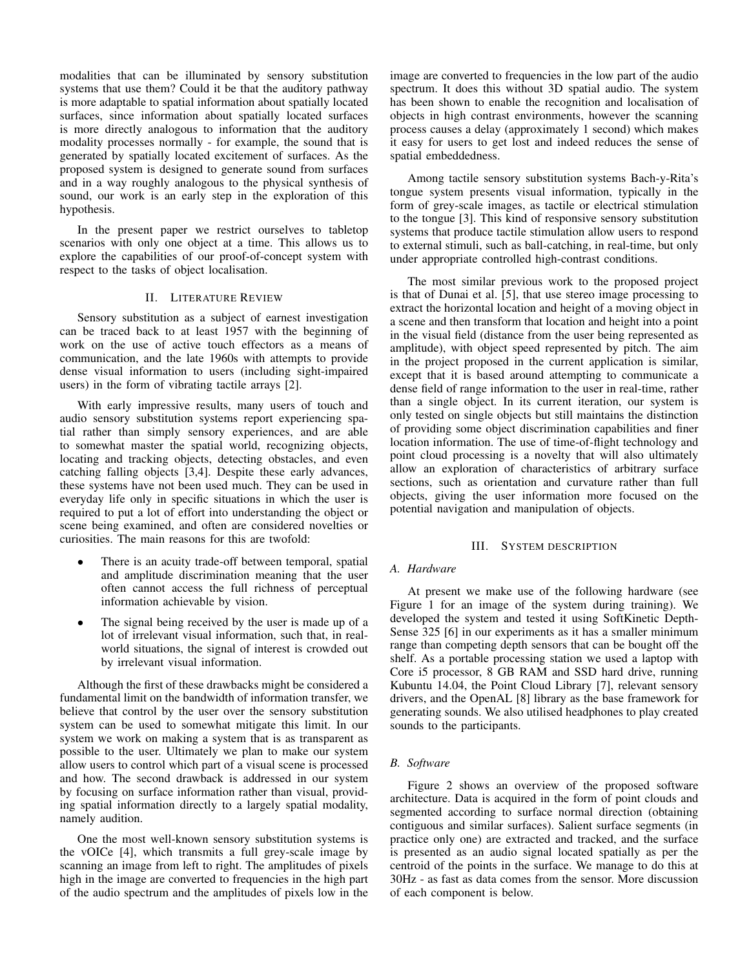modalities that can be illuminated by sensory substitution systems that use them? Could it be that the auditory pathway is more adaptable to spatial information about spatially located surfaces, since information about spatially located surfaces is more directly analogous to information that the auditory modality processes normally - for example, the sound that is generated by spatially located excitement of surfaces. As the proposed system is designed to generate sound from surfaces and in a way roughly analogous to the physical synthesis of sound, our work is an early step in the exploration of this hypothesis.

In the present paper we restrict ourselves to tabletop scenarios with only one object at a time. This allows us to explore the capabilities of our proof-of-concept system with respect to the tasks of object localisation.

# II. LITERATURE REVIEW

Sensory substitution as a subject of earnest investigation can be traced back to at least 1957 with the beginning of work on the use of active touch effectors as a means of communication, and the late 1960s with attempts to provide dense visual information to users (including sight-impaired users) in the form of vibrating tactile arrays [2].

With early impressive results, many users of touch and audio sensory substitution systems report experiencing spatial rather than simply sensory experiences, and are able to somewhat master the spatial world, recognizing objects, locating and tracking objects, detecting obstacles, and even catching falling objects [3,4]. Despite these early advances, these systems have not been used much. They can be used in everyday life only in specific situations in which the user is required to put a lot of effort into understanding the object or scene being examined, and often are considered novelties or curiosities. The main reasons for this are twofold:

- There is an acuity trade-off between temporal, spatial and amplitude discrimination meaning that the user often cannot access the full richness of perceptual information achievable by vision.
- The signal being received by the user is made up of a lot of irrelevant visual information, such that, in realworld situations, the signal of interest is crowded out by irrelevant visual information.

Although the first of these drawbacks might be considered a fundamental limit on the bandwidth of information transfer, we believe that control by the user over the sensory substitution system can be used to somewhat mitigate this limit. In our system we work on making a system that is as transparent as possible to the user. Ultimately we plan to make our system allow users to control which part of a visual scene is processed and how. The second drawback is addressed in our system by focusing on surface information rather than visual, providing spatial information directly to a largely spatial modality, namely audition.

One the most well-known sensory substitution systems is the vOICe [4], which transmits a full grey-scale image by scanning an image from left to right. The amplitudes of pixels high in the image are converted to frequencies in the high part of the audio spectrum and the amplitudes of pixels low in the image are converted to frequencies in the low part of the audio spectrum. It does this without 3D spatial audio. The system has been shown to enable the recognition and localisation of objects in high contrast environments, however the scanning process causes a delay (approximately 1 second) which makes it easy for users to get lost and indeed reduces the sense of spatial embeddedness.

Among tactile sensory substitution systems Bach-y-Rita's tongue system presents visual information, typically in the form of grey-scale images, as tactile or electrical stimulation to the tongue [3]. This kind of responsive sensory substitution systems that produce tactile stimulation allow users to respond to external stimuli, such as ball-catching, in real-time, but only under appropriate controlled high-contrast conditions.

The most similar previous work to the proposed project is that of Dunai et al. [5], that use stereo image processing to extract the horizontal location and height of a moving object in a scene and then transform that location and height into a point in the visual field (distance from the user being represented as amplitude), with object speed represented by pitch. The aim in the project proposed in the current application is similar, except that it is based around attempting to communicate a dense field of range information to the user in real-time, rather than a single object. In its current iteration, our system is only tested on single objects but still maintains the distinction of providing some object discrimination capabilities and finer location information. The use of time-of-flight technology and point cloud processing is a novelty that will also ultimately allow an exploration of characteristics of arbitrary surface sections, such as orientation and curvature rather than full objects, giving the user information more focused on the potential navigation and manipulation of objects.

### III. SYSTEM DESCRIPTION

# *A. Hardware*

At present we make use of the following hardware (see Figure 1 for an image of the system during training). We developed the system and tested it using SoftKinetic Depth-Sense 325 [6] in our experiments as it has a smaller minimum range than competing depth sensors that can be bought off the shelf. As a portable processing station we used a laptop with Core i5 processor, 8 GB RAM and SSD hard drive, running Kubuntu 14.04, the Point Cloud Library [7], relevant sensory drivers, and the OpenAL [8] library as the base framework for generating sounds. We also utilised headphones to play created sounds to the participants.

# *B. Software*

Figure 2 shows an overview of the proposed software architecture. Data is acquired in the form of point clouds and segmented according to surface normal direction (obtaining contiguous and similar surfaces). Salient surface segments (in practice only one) are extracted and tracked, and the surface is presented as an audio signal located spatially as per the centroid of the points in the surface. We manage to do this at 30Hz - as fast as data comes from the sensor. More discussion of each component is below.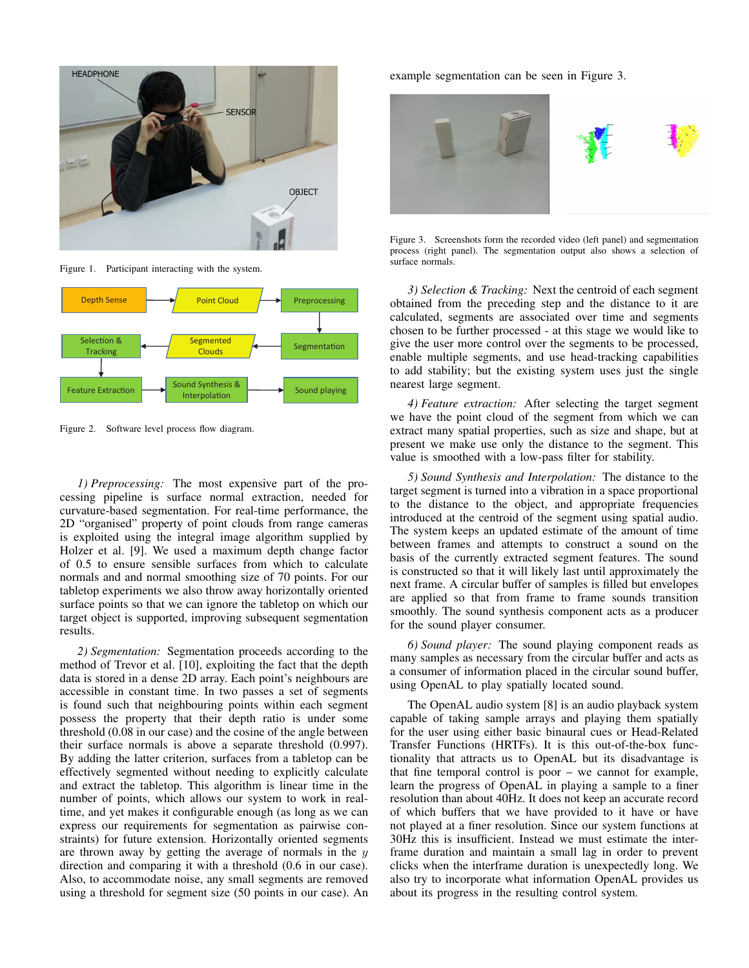

Figure 1. Participant interacting with the system.



Figure 2. Software level process flow diagram.

*1) Preprocessing:* The most expensive part of the processing pipeline is surface normal extraction, needed for curvature-based segmentation. For real-time performance, the 2D "organised" property of point clouds from range cameras is exploited using the integral image algorithm supplied by Holzer et al. [9]. We used a maximum depth change factor of 0.5 to ensure sensible surfaces from which to calculate normals and and normal smoothing size of 70 points. For our tabletop experiments we also throw away horizontally oriented surface points so that we can ignore the tabletop on which our target object is supported, improving subsequent segmentation results.

*2) Segmentation:* Segmentation proceeds according to the method of Trevor et al. [10], exploiting the fact that the depth data is stored in a dense 2D array. Each point's neighbours are accessible in constant time. In two passes a set of segments is found such that neighbouring points within each segment possess the property that their depth ratio is under some threshold (0.08 in our case) and the cosine of the angle between their surface normals is above a separate threshold (0.997). By adding the latter criterion, surfaces from a tabletop can be effectively segmented without needing to explicitly calculate and extract the tabletop. This algorithm is linear time in the number of points, which allows our system to work in realtime, and yet makes it configurable enough (as long as we can express our requirements for segmentation as pairwise constraints) for future extension. Horizontally oriented segments are thrown away by getting the average of normals in the  $y$ direction and comparing it with a threshold (0.6 in our case). Also, to accommodate noise, any small segments are removed using a threshold for segment size (50 points in our case). An example segmentation can be seen in Figure 3.



Figure 3. Screenshots form the recorded video (left panel) and segmentation process (right panel). The segmentation output also shows a selection of surface normals.

*3) Selection & Tracking:* Next the centroid of each segment obtained from the preceding step and the distance to it are calculated, segments are associated over time and segments chosen to be further processed - at this stage we would like to give the user more control over the segments to be processed, enable multiple segments, and use head-tracking capabilities to add stability; but the existing system uses just the single nearest large segment.

*4) Feature extraction:* After selecting the target segment we have the point cloud of the segment from which we can extract many spatial properties, such as size and shape, but at present we make use only the distance to the segment. This value is smoothed with a low-pass filter for stability.

*5) Sound Synthesis and Interpolation:* The distance to the target segment is turned into a vibration in a space proportional to the distance to the object, and appropriate frequencies introduced at the centroid of the segment using spatial audio. The system keeps an updated estimate of the amount of time between frames and attempts to construct a sound on the basis of the currently extracted segment features. The sound is constructed so that it will likely last until approximately the next frame. A circular buffer of samples is filled but envelopes are applied so that from frame to frame sounds transition smoothly. The sound synthesis component acts as a producer for the sound player consumer.

*6) Sound player:* The sound playing component reads as many samples as necessary from the circular buffer and acts as a consumer of information placed in the circular sound buffer, using OpenAL to play spatially located sound.

The OpenAL audio system [8] is an audio playback system capable of taking sample arrays and playing them spatially for the user using either basic binaural cues or Head-Related Transfer Functions (HRTFs). It is this out-of-the-box functionality that attracts us to OpenAL but its disadvantage is that fine temporal control is poor – we cannot for example, learn the progress of OpenAL in playing a sample to a finer resolution than about 40Hz. It does not keep an accurate record of which buffers that we have provided to it have or have not played at a finer resolution. Since our system functions at 30Hz this is insufficient. Instead we must estimate the interframe duration and maintain a small lag in order to prevent clicks when the interframe duration is unexpectedly long. We also try to incorporate what information OpenAL provides us about its progress in the resulting control system.